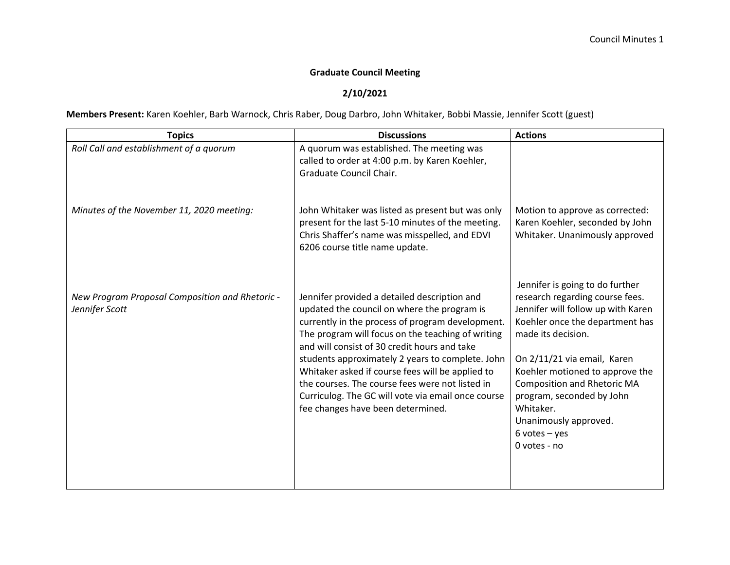## **Graduate Council Meeting**

## **2/10/2021**

**Members Present:** Karen Koehler, Barb Warnock, Chris Raber, Doug Darbro, John Whitaker, Bobbi Massie, Jennifer Scott (guest)

| A quorum was established. The meeting was<br>called to order at 4:00 p.m. by Karen Koehler,<br>Graduate Council Chair.                                                                                                                                                                                                                                                                                                                                                                                     |                                                                                                                                                                                                                                                                                                                                                                                     |
|------------------------------------------------------------------------------------------------------------------------------------------------------------------------------------------------------------------------------------------------------------------------------------------------------------------------------------------------------------------------------------------------------------------------------------------------------------------------------------------------------------|-------------------------------------------------------------------------------------------------------------------------------------------------------------------------------------------------------------------------------------------------------------------------------------------------------------------------------------------------------------------------------------|
|                                                                                                                                                                                                                                                                                                                                                                                                                                                                                                            |                                                                                                                                                                                                                                                                                                                                                                                     |
| John Whitaker was listed as present but was only<br>present for the last 5-10 minutes of the meeting.<br>Chris Shaffer's name was misspelled, and EDVI<br>6206 course title name update.                                                                                                                                                                                                                                                                                                                   | Motion to approve as corrected:<br>Karen Koehler, seconded by John<br>Whitaker. Unanimously approved                                                                                                                                                                                                                                                                                |
| Jennifer provided a detailed description and<br>updated the council on where the program is<br>currently in the process of program development.<br>The program will focus on the teaching of writing<br>and will consist of 30 credit hours and take<br>students approximately 2 years to complete. John<br>Whitaker asked if course fees will be applied to<br>the courses. The course fees were not listed in<br>Curriculog. The GC will vote via email once course<br>fee changes have been determined. | Jennifer is going to do further<br>research regarding course fees.<br>Jennifer will follow up with Karen<br>Koehler once the department has<br>made its decision.<br>On 2/11/21 via email, Karen<br>Koehler motioned to approve the<br><b>Composition and Rhetoric MA</b><br>program, seconded by John<br>Whitaker.<br>Unanimously approved.<br>$6$ votes $-$ yes<br>$0$ votes - no |
|                                                                                                                                                                                                                                                                                                                                                                                                                                                                                                            |                                                                                                                                                                                                                                                                                                                                                                                     |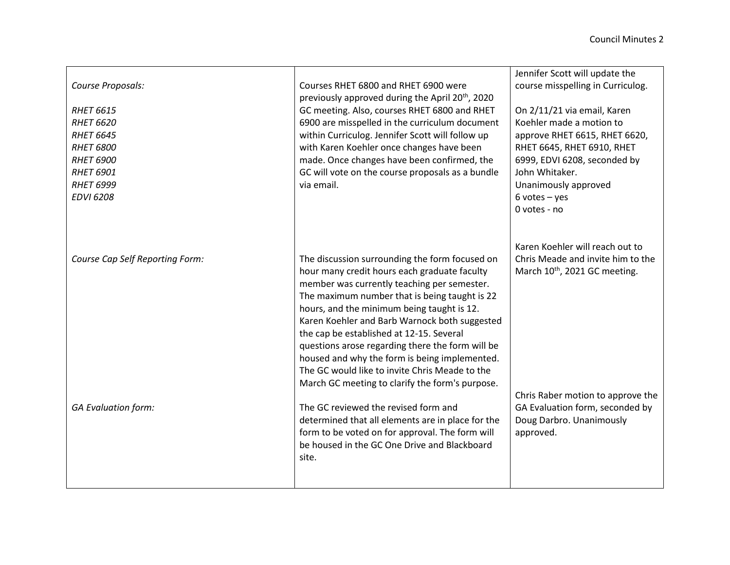| Course Proposals:<br><b>RHET 6615</b><br><b>RHET 6620</b><br><b>RHET 6645</b><br><b>RHET 6800</b><br><b>RHET 6900</b><br><b>RHET 6901</b><br><b>RHET 6999</b><br><b>EDVI 6208</b> | Courses RHET 6800 and RHET 6900 were<br>previously approved during the April 20 <sup>th</sup> , 2020<br>GC meeting. Also, courses RHET 6800 and RHET<br>6900 are misspelled in the curriculum document<br>within Curriculog. Jennifer Scott will follow up<br>with Karen Koehler once changes have been<br>made. Once changes have been confirmed, the<br>GC will vote on the course proposals as a bundle<br>via email.                                                                                                                                                                                                                                                                                                                                     | Jennifer Scott will update the<br>course misspelling in Curriculog.<br>On 2/11/21 via email, Karen<br>Koehler made a motion to<br>approve RHET 6615, RHET 6620,<br>RHET 6645, RHET 6910, RHET<br>6999, EDVI 6208, seconded by<br>John Whitaker.<br>Unanimously approved<br>$6$ votes $-$ yes<br>0 votes - no |
|-----------------------------------------------------------------------------------------------------------------------------------------------------------------------------------|--------------------------------------------------------------------------------------------------------------------------------------------------------------------------------------------------------------------------------------------------------------------------------------------------------------------------------------------------------------------------------------------------------------------------------------------------------------------------------------------------------------------------------------------------------------------------------------------------------------------------------------------------------------------------------------------------------------------------------------------------------------|--------------------------------------------------------------------------------------------------------------------------------------------------------------------------------------------------------------------------------------------------------------------------------------------------------------|
| Course Cap Self Reporting Form:<br><b>GA Evaluation form:</b>                                                                                                                     | The discussion surrounding the form focused on<br>hour many credit hours each graduate faculty<br>member was currently teaching per semester.<br>The maximum number that is being taught is 22<br>hours, and the minimum being taught is 12.<br>Karen Koehler and Barb Warnock both suggested<br>the cap be established at 12-15. Several<br>questions arose regarding there the form will be<br>housed and why the form is being implemented.<br>The GC would like to invite Chris Meade to the<br>March GC meeting to clarify the form's purpose.<br>The GC reviewed the revised form and<br>determined that all elements are in place for the<br>form to be voted on for approval. The form will<br>be housed in the GC One Drive and Blackboard<br>site. | Karen Koehler will reach out to<br>Chris Meade and invite him to the<br>March 10 <sup>th</sup> , 2021 GC meeting.<br>Chris Raber motion to approve the<br>GA Evaluation form, seconded by<br>Doug Darbro. Unanimously<br>approved.                                                                           |